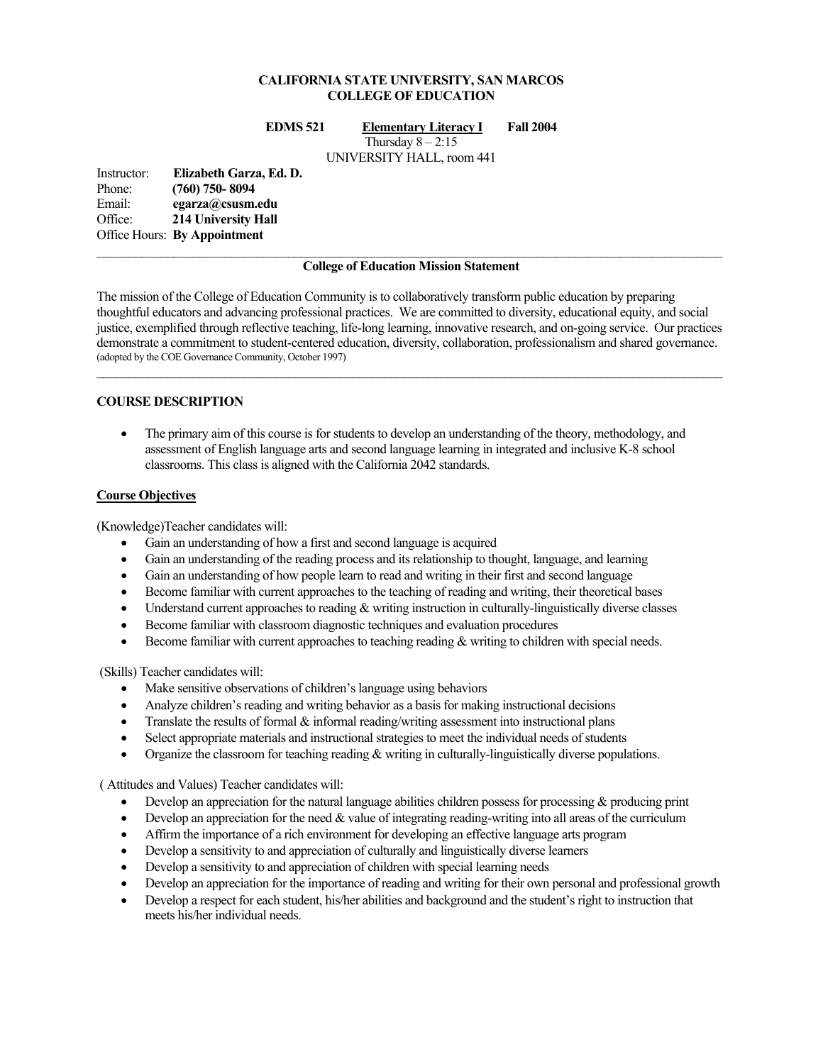### **CALIFORNIA STATE UNIVERSITY, SAN MARCOS COLLEGE OF EDUCATION**

**EDMS 521 Elementary Literacy I Fall 2004** 

Thursday  $8 - 2:15$ 

UNIVERSITY HALL, room 441

Instructor: **Elizabeth Garza, Ed. D.**  Phone: **(760) 750- 8094**  Email: **egarza@csusm.edu** Office: **214 University Hall**  Office Hours: **By Appointment**

#### **College of Education Mission Statement**

The mission of the College of Education Community is to collaboratively transform public education by preparing thoughtful educators and advancing professional practices. We are committed to diversity, educational equity, and social justice, exemplified through reflective teaching, life-long learning, innovative research, and on-going service. Our practices demonstrate a commitment to student-centered education, diversity, collaboration, professionalism and shared governance. (adopted by the COE Governance Community, October 1997)  $\mathcal{L}_\mathcal{L} = \{ \mathcal{L}_\mathcal{L} = \{ \mathcal{L}_\mathcal{L} = \{ \mathcal{L}_\mathcal{L} = \{ \mathcal{L}_\mathcal{L} = \{ \mathcal{L}_\mathcal{L} = \{ \mathcal{L}_\mathcal{L} = \{ \mathcal{L}_\mathcal{L} = \{ \mathcal{L}_\mathcal{L} = \{ \mathcal{L}_\mathcal{L} = \{ \mathcal{L}_\mathcal{L} = \{ \mathcal{L}_\mathcal{L} = \{ \mathcal{L}_\mathcal{L} = \{ \mathcal{L}_\mathcal{L} = \{ \mathcal{L}_\mathcal{$ 

#### **COURSE DESCRIPTION**

• The primary aim of this course is for students to develop an understanding of the theory, methodology, and assessment of English language arts and second language learning in integrated and inclusive K-8 school classrooms. This class is aligned with the California 2042 standards.

#### **Course Objectives**

(Knowledge)Teacher candidates will:

- Gain an understanding of how a first and second language is acquired
- Gain an understanding of the reading process and its relationship to thought, language, and learning
- Gain an understanding of how people learn to read and writing in their first and second language
- Become familiar with current approaches to the teaching of reading and writing, their theoretical bases
- Understand current approaches to reading & writing instruction in culturally-linguistically diverse classes
- Become familiar with classroom diagnostic techniques and evaluation procedures
- Become familiar with current approaches to teaching reading & writing to children with special needs.

(Skills) Teacher candidates will:

- Make sensitive observations of children's language using behaviors
- Analyze children's reading and writing behavior as a basis for making instructional decisions
- Translate the results of formal  $\&$  informal reading/writing assessment into instructional plans
- Select appropriate materials and instructional strategies to meet the individual needs of students
- Organize the classroom for teaching reading  $&$  writing in culturally-linguistically diverse populations.

( Attitudes and Values) Teacher candidates will:

- Develop an appreciation for the natural language abilities children possess for processing & producing print
- Develop an appreciation for the need  $&$  value of integrating reading-writing into all areas of the curriculum
- Affirm the importance of a rich environment for developing an effective language arts program
- Develop a sensitivity to and appreciation of culturally and linguistically diverse learners
- Develop a sensitivity to and appreciation of children with special learning needs
- Develop an appreciation for the importance of reading and writing for their own personal and professional growth
- Develop a respect for each student, his/her abilities and background and the student's right to instruction that meets his/her individual needs.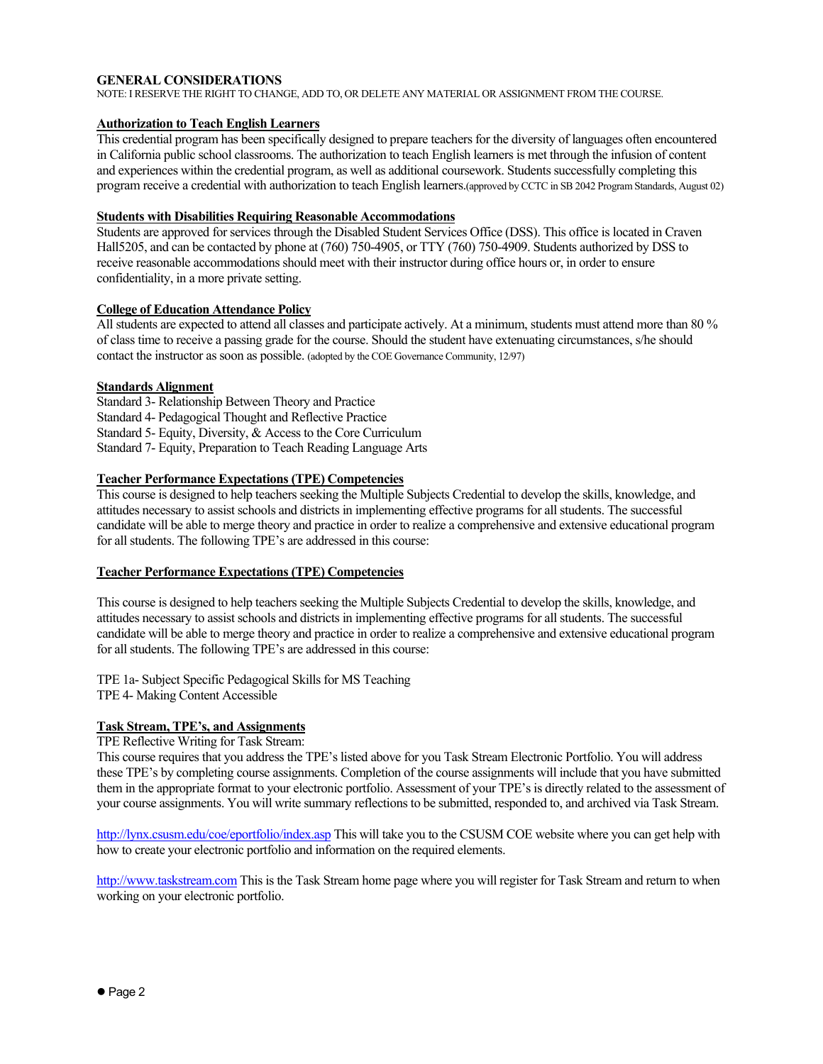#### **GENERAL CONSIDERATIONS**

NOTE: I RESERVE THE RIGHT TO CHANGE, ADD TO, OR DELETE ANY MATERIAL OR ASSIGNMENT FROM THE COURSE.

#### **Authorization to Teach English Learners**

This credential program has been specifically designed to prepare teachers for the diversity of languages often encountered in California public school classrooms. The authorization to teach English learners is met through the infusion of content and experiences within the credential program, as well as additional coursework. Students successfully completing this program receive a credential with authorization to teach English learners.(approved by CCTC in SB 2042 Program Standards, August 02)

#### **Students with Disabilities Requiring Reasonable Accommodations**

Students are approved for services through the Disabled Student Services Office (DSS). This office is located in Craven Hall5205, and can be contacted by phone at (760) 750-4905, or TTY (760) 750-4909. Students authorized by DSS to receive reasonable accommodations should meet with their instructor during office hours or, in order to ensure confidentiality, in a more private setting.

#### **College of Education Attendance Policy**

All students are expected to attend all classes and participate actively. At a minimum, students must attend more than 80 % of class time to receive a passing grade for the course. Should the student have extenuating circumstances, s/he should contact the instructor as soon as possible. (adopted by the COE Governance Community, 12/97)

#### **Standards Alignment**

Standard 3- Relationship Between Theory and Practice Standard 4- Pedagogical Thought and Reflective Practice Standard 5- Equity, Diversity, & Access to the Core Curriculum Standard 7- Equity, Preparation to Teach Reading Language Arts

### **Teacher Performance Expectations (TPE) Competencies**

This course is designed to help teachers seeking the Multiple Subjects Credential to develop the skills, knowledge, and attitudes necessary to assist schools and districts in implementing effective programs for all students. The successful candidate will be able to merge theory and practice in order to realize a comprehensive and extensive educational program for all students. The following TPE's are addressed in this course:

### **Teacher Performance Expectations (TPE) Competencies**

This course is designed to help teachers seeking the Multiple Subjects Credential to develop the skills, knowledge, and attitudes necessary to assist schools and districts in implementing effective programs for all students. The successful candidate will be able to merge theory and practice in order to realize a comprehensive and extensive educational program for all students. The following TPE's are addressed in this course:

TPE 1a- Subject Specific Pedagogical Skills for MS Teaching TPE 4- Making Content Accessible

### **Task Stream, TPE's, and Assignments**

#### TPE Reflective Writing for Task Stream:

This course requires that you address the TPE's listed above for you Task Stream Electronic Portfolio. You will address these TPE's by completing course assignments. Completion of the course assignments will include that you have submitted them in the appropriate format to your electronic portfolio. Assessment of your TPE's is directly related to the assessment of your course assignments. You will write summary reflections to be submitted, responded to, and archived via Task Stream.

http://lynx.csusm.edu/coe/eportfolio/index.asp This will take you to the CSUSM COE website where you can get help with how to create your electronic portfolio and information on the required elements.

http://www.taskstream.com This is the Task Stream home page where you will register for Task Stream and return to when working on your electronic portfolio.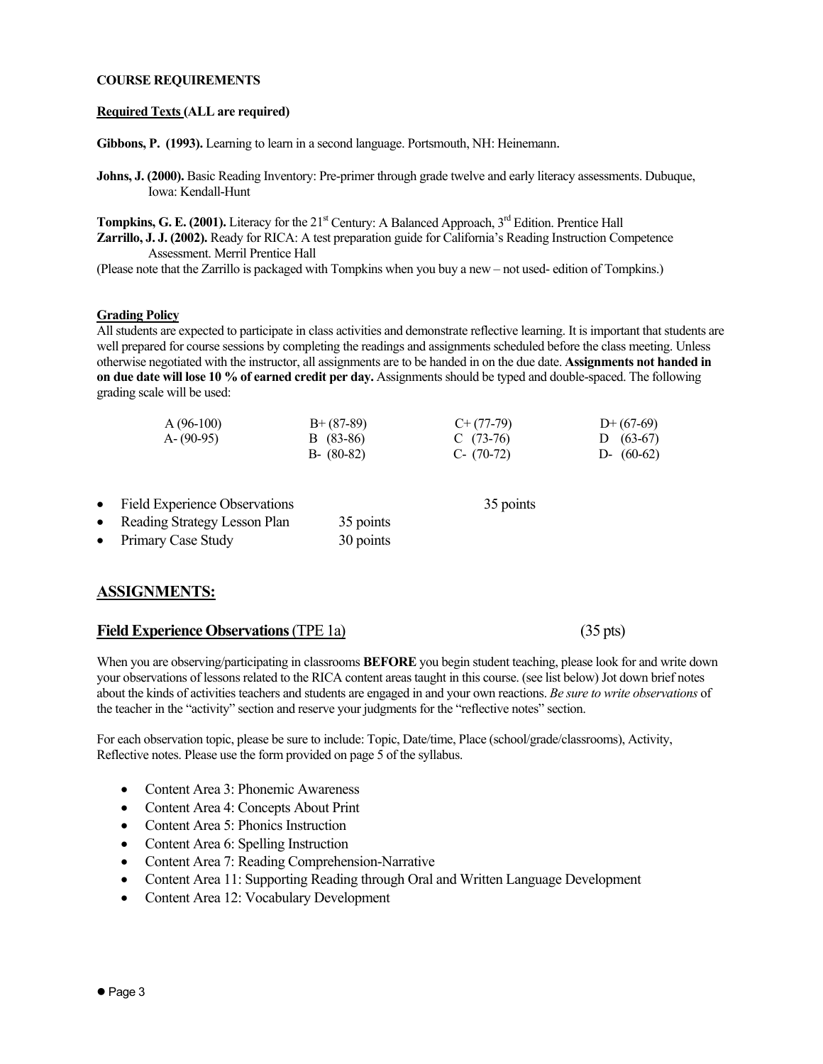#### **COURSE REQUIREMENTS**

#### **Required Texts (ALL are required)**

**Gibbons, P. (1993).** Learning to learn in a second language. Portsmouth, NH: Heinemann.

**Johns, J. (2000).** Basic Reading Inventory: Pre-primer through grade twelve and early literacy assessments. Dubuque, Iowa: Kendall-Hunt

**Tompkins, G. E. (2001).** Literacy for the 21<sup>st</sup> Century: A Balanced Approach, 3<sup>rd</sup> Edition. Prentice Hall **Zarrillo, J. J. (2002).** Ready for RICA: A test preparation guide for California's Reading Instruction Competence Assessment. Merril Prentice Hall

(Please note that the Zarrillo is packaged with Tompkins when you buy a new – not used- edition of Tompkins.)

#### **Grading Policy**

All students are expected to participate in class activities and demonstrate reflective learning. It is important that students are well prepared for course sessions by completing the readings and assignments scheduled before the class meeting. Unless otherwise negotiated with the instructor, all assignments are to be handed in on the due date. **Assignments not handed in on due date will lose 10 % of earned credit per day.** Assignments should be typed and double-spaced. The following grading scale will be used:

| $A(96-100)$   | $B+ (87-89)$  | $C+ (77-79)$  | $D+(67-69)$  |
|---------------|---------------|---------------|--------------|
| $A - (90-95)$ | B (83-86)     | C $(73-76)$   | D $(63-67)$  |
|               | $B - (80-82)$ | $C - (70-72)$ | D- $(60-62)$ |

- Field Experience Observations 35 points Reading Strategy Lesson Plan 35 points
- Primary Case Study 30 points

## **ASSIGNMENTS:**

#### **Field Experience Observations** (TPE 1a) (35 pts)

When you are observing/participating in classrooms **BEFORE** you begin student teaching, please look for and write down your observations of lessons related to the RICA content areas taught in this course. (see list below) Jot down brief notes about the kinds of activities teachers and students are engaged in and your own reactions. *Be sure to write observations* of the teacher in the "activity" section and reserve your judgments for the "reflective notes" section.

For each observation topic, please be sure to include: Topic, Date/time, Place (school/grade/classrooms), Activity, Reflective notes. Please use the form provided on page 5 of the syllabus.

- Content Area 3: Phonemic Awareness
- Content Area 4: Concepts About Print
- Content Area 5: Phonics Instruction
- Content Area 6: Spelling Instruction
- Content Area 7: Reading Comprehension-Narrative
- Content Area 11: Supporting Reading through Oral and Written Language Development
- Content Area 12: Vocabulary Development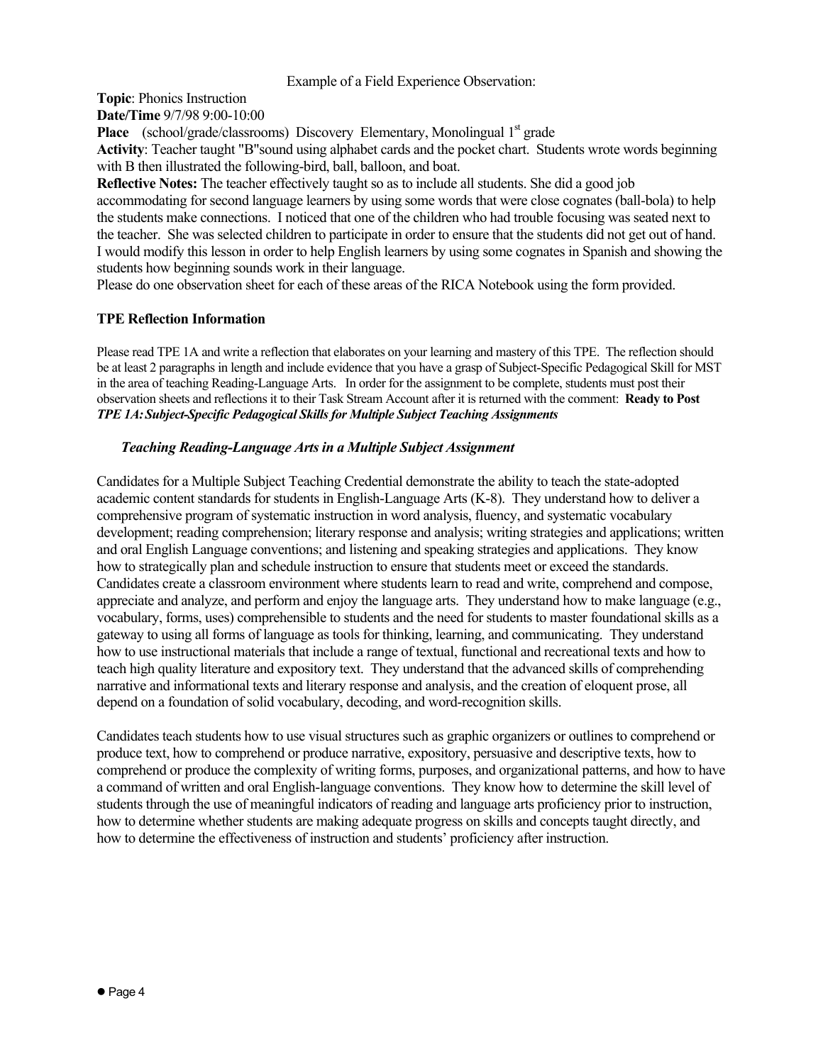Example of a Field Experience Observation:

**Topic**: Phonics Instruction

**Date/Time** 9/7/98 9:00-10:00

Place (school/grade/classrooms) Discovery Elementary, Monolingual 1<sup>st</sup> grade

**Activity**: Teacher taught "B"sound using alphabet cards and the pocket chart. Students wrote words beginning with B then illustrated the following-bird, ball, balloon, and boat.

**Reflective Notes:** The teacher effectively taught so as to include all students. She did a good job accommodating for second language learners by using some words that were close cognates (ball-bola) to help the students make connections. I noticed that one of the children who had trouble focusing was seated next to the teacher. She was selected children to participate in order to ensure that the students did not get out of hand. I would modify this lesson in order to help English learners by using some cognates in Spanish and showing the students how beginning sounds work in their language.

Please do one observation sheet for each of these areas of the RICA Notebook using the form provided.

## **TPE Reflection Information**

Please read TPE 1A and write a reflection that elaborates on your learning and mastery of this TPE. The reflection should be at least 2 paragraphs in length and include evidence that you have a grasp of Subject-Specific Pedagogical Skill for MST in the area of teaching Reading-Language Arts. In order for the assignment to be complete, students must post their observation sheets and reflections it to their Task Stream Account after it is returned with the comment: **Ready to Post**  *TPE 1A: Subject-Specific Pedagogical Skills for Multiple Subject Teaching Assignments* 

## *Teaching Reading-Language Arts in a Multiple Subject Assignment*

Candidates for a Multiple Subject Teaching Credential demonstrate the ability to teach the state-adopted academic content standards for students in English-Language Arts (K-8). They understand how to deliver a comprehensive program of systematic instruction in word analysis, fluency, and systematic vocabulary development; reading comprehension; literary response and analysis; writing strategies and applications; written and oral English Language conventions; and listening and speaking strategies and applications. They know how to strategically plan and schedule instruction to ensure that students meet or exceed the standards. Candidates create a classroom environment where students learn to read and write, comprehend and compose, appreciate and analyze, and perform and enjoy the language arts. They understand how to make language (e.g., vocabulary, forms, uses) comprehensible to students and the need for students to master foundational skills as a gateway to using all forms of language as tools for thinking, learning, and communicating. They understand how to use instructional materials that include a range of textual, functional and recreational texts and how to teach high quality literature and expository text. They understand that the advanced skills of comprehending narrative and informational texts and literary response and analysis, and the creation of eloquent prose, all depend on a foundation of solid vocabulary, decoding, and word-recognition skills.

Candidates teach students how to use visual structures such as graphic organizers or outlines to comprehend or produce text, how to comprehend or produce narrative, expository, persuasive and descriptive texts, how to comprehend or produce the complexity of writing forms, purposes, and organizational patterns, and how to have a command of written and oral English-language conventions. They know how to determine the skill level of students through the use of meaningful indicators of reading and language arts proficiency prior to instruction, how to determine whether students are making adequate progress on skills and concepts taught directly, and how to determine the effectiveness of instruction and students' proficiency after instruction.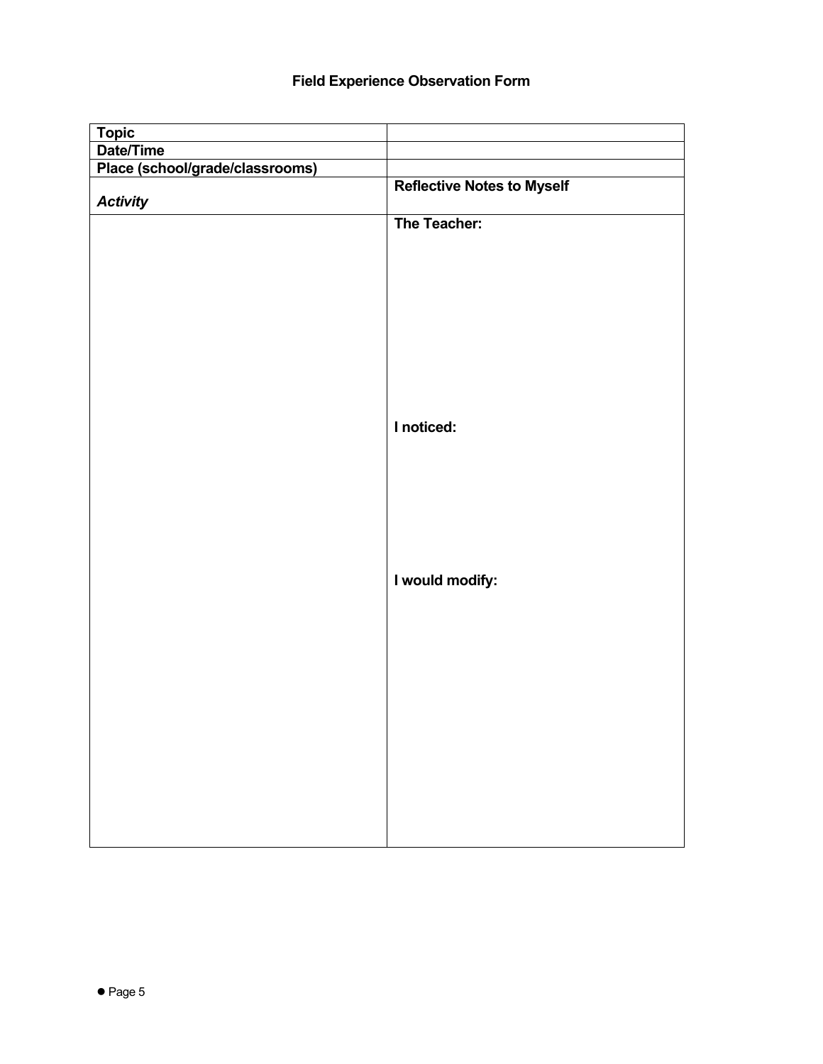## **Field Experience Observation Form**

| <b>Topic</b>                    |                                   |
|---------------------------------|-----------------------------------|
| Date/Time                       |                                   |
| Place (school/grade/classrooms) |                                   |
| <b>Activity</b>                 | <b>Reflective Notes to Myself</b> |
|                                 | The Teacher:                      |
|                                 |                                   |
|                                 |                                   |
|                                 |                                   |
|                                 |                                   |
|                                 | I noticed:                        |
|                                 |                                   |
|                                 |                                   |
|                                 | I would modify:                   |
|                                 |                                   |
|                                 |                                   |
|                                 |                                   |
|                                 |                                   |
|                                 |                                   |
|                                 |                                   |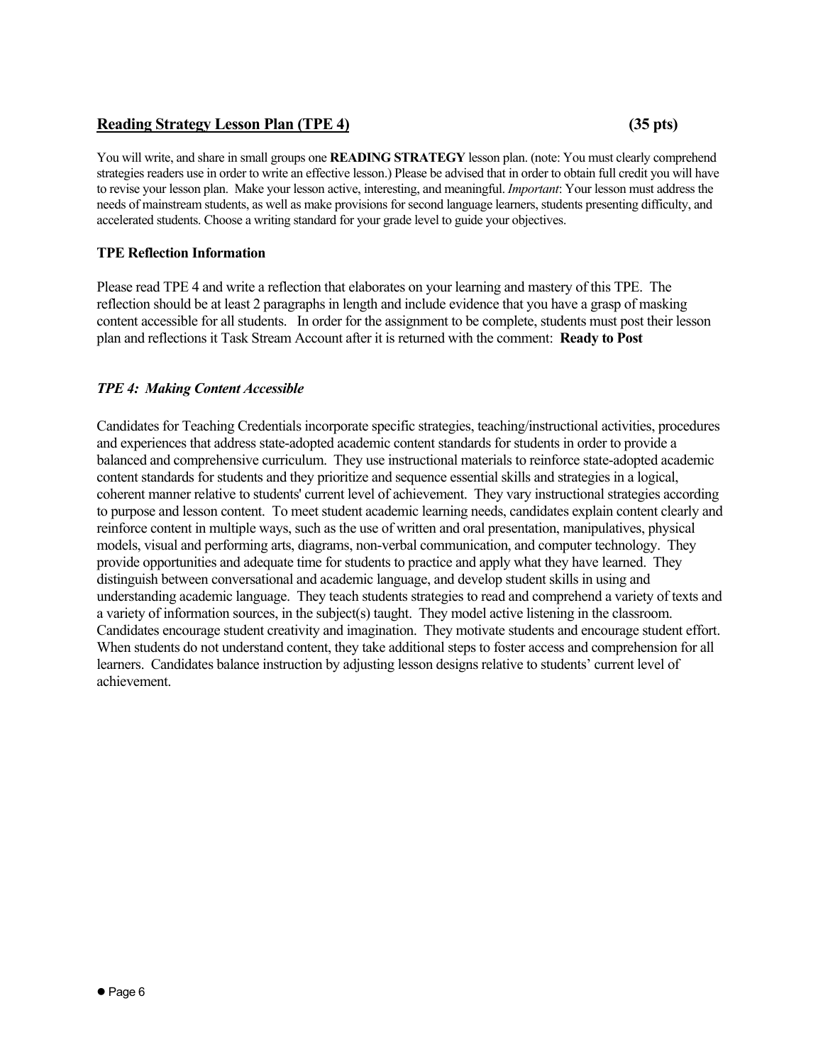## **Reading Strategy Lesson Plan (TPE 4) (35 pts)**

You will write, and share in small groups one **READING STRATEGY** lesson plan. (note: You must clearly comprehend strategies readers use in order to write an effective lesson.) Please be advised that in order to obtain full credit you will have to revise your lesson plan. Make your lesson active, interesting, and meaningful. *Important*: Your lesson must address the needs of mainstream students, as well as make provisions for second language learners, students presenting difficulty, and accelerated students. Choose a writing standard for your grade level to guide your objectives.

### **TPE Reflection Information**

Please read TPE 4 and write a reflection that elaborates on your learning and mastery of this TPE. The reflection should be at least 2 paragraphs in length and include evidence that you have a grasp of masking content accessible for all students. In order for the assignment to be complete, students must post their lesson plan and reflections it Task Stream Account after it is returned with the comment: **Ready to Post**

## *TPE 4: Making Content Accessible*

Candidates for Teaching Credentials incorporate specific strategies, teaching/instructional activities, procedures and experiences that address state-adopted academic content standards for students in order to provide a balanced and comprehensive curriculum. They use instructional materials to reinforce state-adopted academic content standards for students and they prioritize and sequence essential skills and strategies in a logical, coherent manner relative to students' current level of achievement. They vary instructional strategies according to purpose and lesson content. To meet student academic learning needs, candidates explain content clearly and reinforce content in multiple ways, such as the use of written and oral presentation, manipulatives, physical models, visual and performing arts, diagrams, non-verbal communication, and computer technology. They provide opportunities and adequate time for students to practice and apply what they have learned. They distinguish between conversational and academic language, and develop student skills in using and understanding academic language. They teach students strategies to read and comprehend a variety of texts and a variety of information sources, in the subject(s) taught. They model active listening in the classroom. Candidates encourage student creativity and imagination. They motivate students and encourage student effort. When students do not understand content, they take additional steps to foster access and comprehension for all learners. Candidates balance instruction by adjusting lesson designs relative to students' current level of achievement.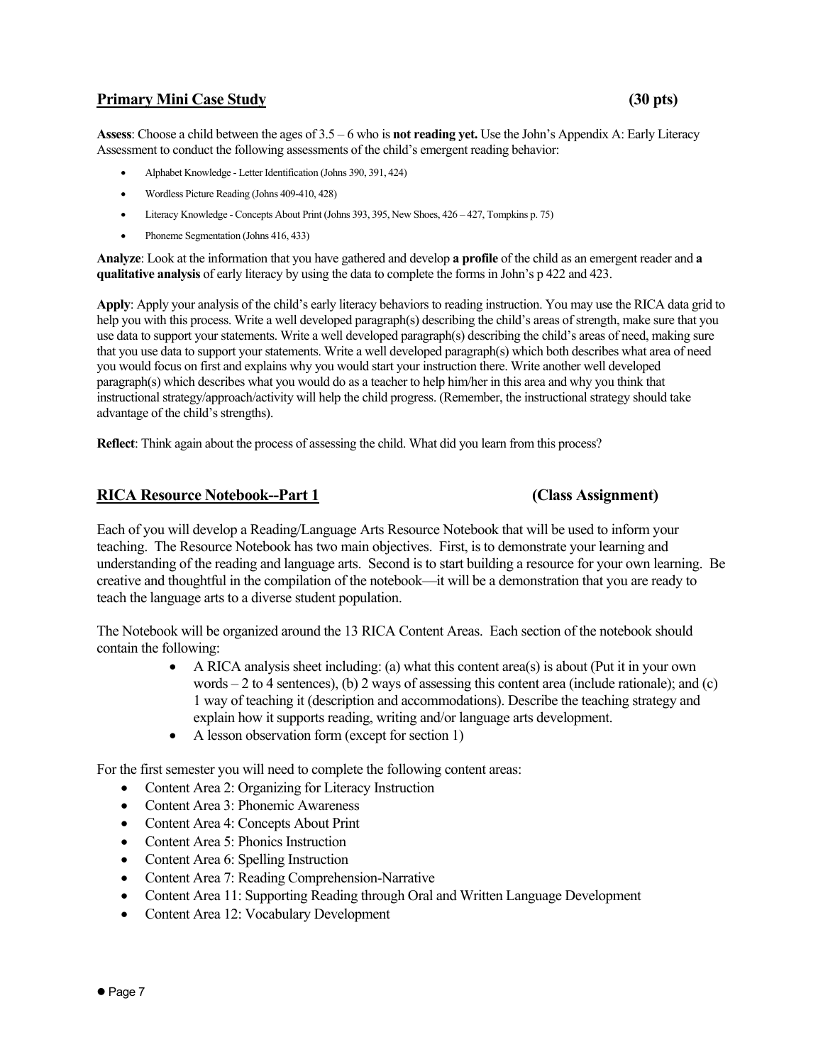## **Primary Mini Case Study**  (30 pts) (30 pts)

**Assess**: Choose a child between the ages of 3.5 – 6 who is **not reading yet.** Use the John's Appendix A: Early Literacy Assessment to conduct the following assessments of the child's emergent reading behavior:

- Alphabet Knowledge Letter Identification (Johns 390, 391, 424)
- Wordless Picture Reading (Johns 409-410, 428)
- Literacy Knowledge Concepts About Print (Johns 393, 395, New Shoes, 426 427, Tompkins p. 75)
- Phoneme Segmentation (Johns 416, 433)

**Analyze**: Look at the information that you have gathered and develop **a profile** of the child as an emergent reader and **a qualitative analysis** of early literacy by using the data to complete the forms in John's p 422 and 423.

**Apply**: Apply your analysis of the child's early literacy behaviors to reading instruction. You may use the RICA data grid to help you with this process. Write a well developed paragraph(s) describing the child's areas of strength, make sure that you use data to support your statements. Write a well developed paragraph(s) describing the child's areas of need, making sure that you use data to support your statements. Write a well developed paragraph(s) which both describes what area of need you would focus on first and explains why you would start your instruction there. Write another well developed paragraph(s) which describes what you would do as a teacher to help him/her in this area and why you think that instructional strategy/approach/activity will help the child progress. (Remember, the instructional strategy should take advantage of the child's strengths).

**Reflect**: Think again about the process of assessing the child. What did you learn from this process?

### **RICA Resource Notebook--Part 1 (Class Assignment)**

Each of you will develop a Reading/Language Arts Resource Notebook that will be used to inform your teaching. The Resource Notebook has two main objectives. First, is to demonstrate your learning and understanding of the reading and language arts. Second is to start building a resource for your own learning. Be creative and thoughtful in the compilation of the notebook—it will be a demonstration that you are ready to teach the language arts to a diverse student population.

The Notebook will be organized around the 13 RICA Content Areas. Each section of the notebook should contain the following:

- A RICA analysis sheet including: (a) what this content area(s) is about (Put it in your own words  $-2$  to 4 sentences), (b) 2 ways of assessing this content area (include rationale); and (c) 1 way of teaching it (description and accommodations). Describe the teaching strategy and explain how it supports reading, writing and/or language arts development.
- A lesson observation form (except for section 1)

For the first semester you will need to complete the following content areas:

- Content Area 2: Organizing for Literacy Instruction
- Content Area 3: Phonemic Awareness
- Content Area 4: Concepts About Print
- Content Area 5: Phonics Instruction
- Content Area 6: Spelling Instruction
- Content Area 7: Reading Comprehension-Narrative
- Content Area 11: Supporting Reading through Oral and Written Language Development
- Content Area 12: Vocabulary Development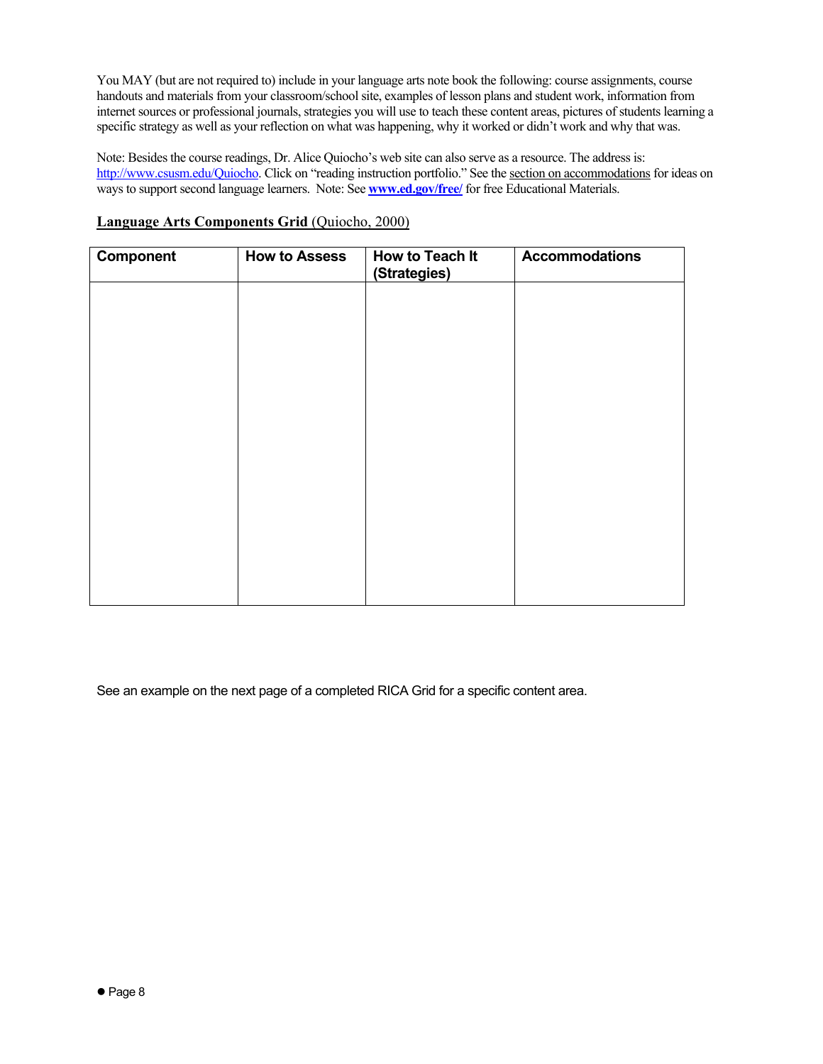You MAY (but are not required to) include in your language arts note book the following: course assignments, course handouts and materials from your classroom/school site, examples of lesson plans and student work, information from internet sources or professional journals, strategies you will use to teach these content areas, pictures of students learning a specific strategy as well as your reflection on what was happening, why it worked or didn't work and why that was.

Note: Besides the course readings, Dr. Alice Quiocho's web site can also serve as a resource. The address is: http://www.csusm.edu/Quiocho. Click on "reading instruction portfolio." See the section on accommodations for ideas on ways to support second language learners. Note: See **www.ed.gov/free/** for free Educational Materials.

| Component | <b>How to Assess</b> | How to Teach It<br>(Strategies) | <b>Accommodations</b> |
|-----------|----------------------|---------------------------------|-----------------------|
|           |                      |                                 |                       |
|           |                      |                                 |                       |
|           |                      |                                 |                       |
|           |                      |                                 |                       |
|           |                      |                                 |                       |
|           |                      |                                 |                       |
|           |                      |                                 |                       |
|           |                      |                                 |                       |
|           |                      |                                 |                       |

### **Language Arts Components Grid** (Quiocho, 2000)

See an example on the next page of a completed RICA Grid for a specific content area.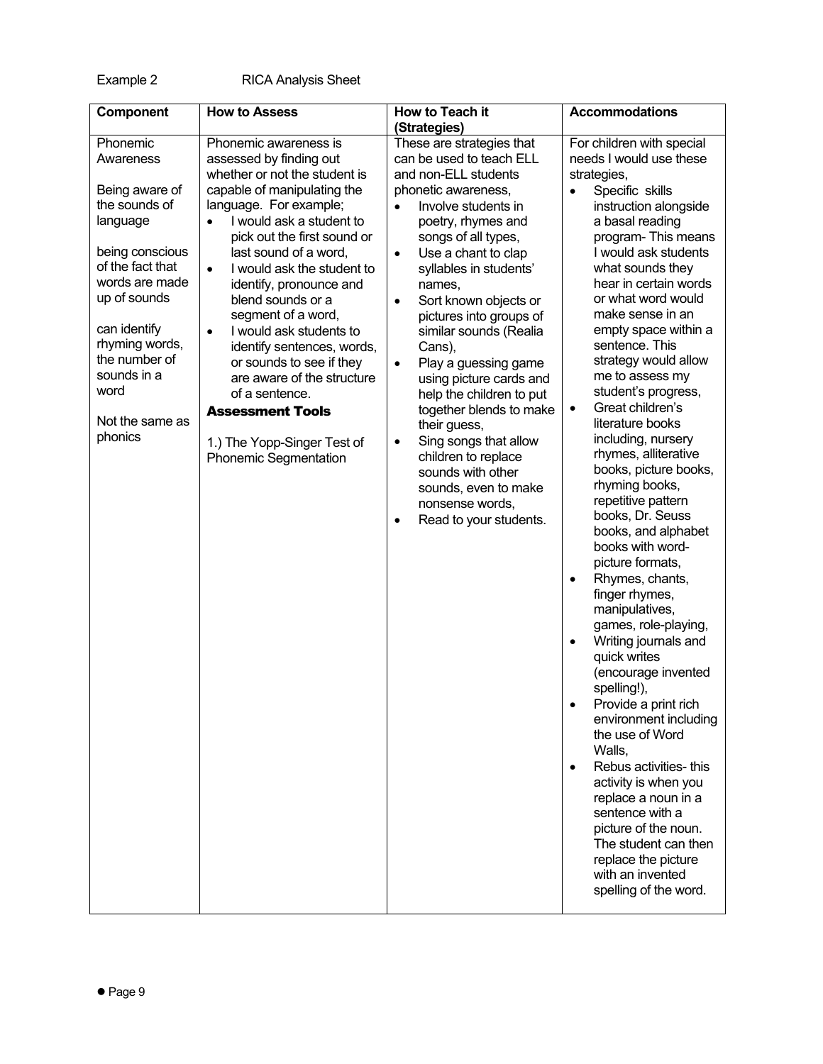| Component                                                                                                                                                                                                                                             | <b>How to Assess</b>                                                                                                                                                                                                                                                                                                                                                                                                                                                                                                                                                                              | How to Teach it<br>(Strategies)                                                                                                                                                                                                                                                                                                                                                                                                                                                                                                                                                                                                                                               | <b>Accommodations</b>                                                                                                                                                                                                                                                                                                                                                                                                                                                                                                                                                                                                                                                                                                                                                                                                                                                                                                                                                                                                                                                                                                                                                  |
|-------------------------------------------------------------------------------------------------------------------------------------------------------------------------------------------------------------------------------------------------------|---------------------------------------------------------------------------------------------------------------------------------------------------------------------------------------------------------------------------------------------------------------------------------------------------------------------------------------------------------------------------------------------------------------------------------------------------------------------------------------------------------------------------------------------------------------------------------------------------|-------------------------------------------------------------------------------------------------------------------------------------------------------------------------------------------------------------------------------------------------------------------------------------------------------------------------------------------------------------------------------------------------------------------------------------------------------------------------------------------------------------------------------------------------------------------------------------------------------------------------------------------------------------------------------|------------------------------------------------------------------------------------------------------------------------------------------------------------------------------------------------------------------------------------------------------------------------------------------------------------------------------------------------------------------------------------------------------------------------------------------------------------------------------------------------------------------------------------------------------------------------------------------------------------------------------------------------------------------------------------------------------------------------------------------------------------------------------------------------------------------------------------------------------------------------------------------------------------------------------------------------------------------------------------------------------------------------------------------------------------------------------------------------------------------------------------------------------------------------|
| Phonemic<br>Awareness<br>Being aware of<br>the sounds of<br>language<br>being conscious<br>of the fact that<br>words are made<br>up of sounds<br>can identify<br>rhyming words,<br>the number of<br>sounds in a<br>word<br>Not the same as<br>phonics | Phonemic awareness is<br>assessed by finding out<br>whether or not the student is<br>capable of manipulating the<br>language. For example;<br>I would ask a student to<br>$\bullet$<br>pick out the first sound or<br>last sound of a word,<br>I would ask the student to<br>$\bullet$<br>identify, pronounce and<br>blend sounds or a<br>segment of a word,<br>I would ask students to<br>$\bullet$<br>identify sentences, words,<br>or sounds to see if they<br>are aware of the structure<br>of a sentence.<br><b>Assessment Tools</b><br>1.) The Yopp-Singer Test of<br>Phonemic Segmentation | These are strategies that<br>can be used to teach ELL<br>and non-ELL students<br>phonetic awareness,<br>Involve students in<br>$\bullet$<br>poetry, rhymes and<br>songs of all types,<br>Use a chant to clap<br>$\bullet$<br>syllables in students'<br>names,<br>Sort known objects or<br>$\bullet$<br>pictures into groups of<br>similar sounds (Realia<br>Cans),<br>Play a guessing game<br>$\bullet$<br>using picture cards and<br>help the children to put<br>together blends to make<br>their guess,<br>Sing songs that allow<br>$\bullet$<br>children to replace<br>sounds with other<br>sounds, even to make<br>nonsense words,<br>Read to your students.<br>$\bullet$ | For children with special<br>needs I would use these<br>strategies,<br>Specific skills<br>$\bullet$<br>instruction alongside<br>a basal reading<br>program-This means<br>I would ask students<br>what sounds they<br>hear in certain words<br>or what word would<br>make sense in an<br>empty space within a<br>sentence. This<br>strategy would allow<br>me to assess my<br>student's progress,<br>Great children's<br>$\bullet$<br>literature books<br>including, nursery<br>rhymes, alliterative<br>books, picture books,<br>rhyming books,<br>repetitive pattern<br>books, Dr. Seuss<br>books, and alphabet<br>books with word-<br>picture formats,<br>Rhymes, chants,<br>$\bullet$<br>finger rhymes,<br>manipulatives,<br>games, role-playing,<br>Writing journals and<br>$\bullet$<br>quick writes<br>(encourage invented<br>spelling!),<br>Provide a print rich<br>$\bullet$<br>environment including<br>the use of Word<br>Walls,<br>Rebus activities- this<br>$\bullet$<br>activity is when you<br>replace a noun in a<br>sentence with a<br>picture of the noun.<br>The student can then<br>replace the picture<br>with an invented<br>spelling of the word. |